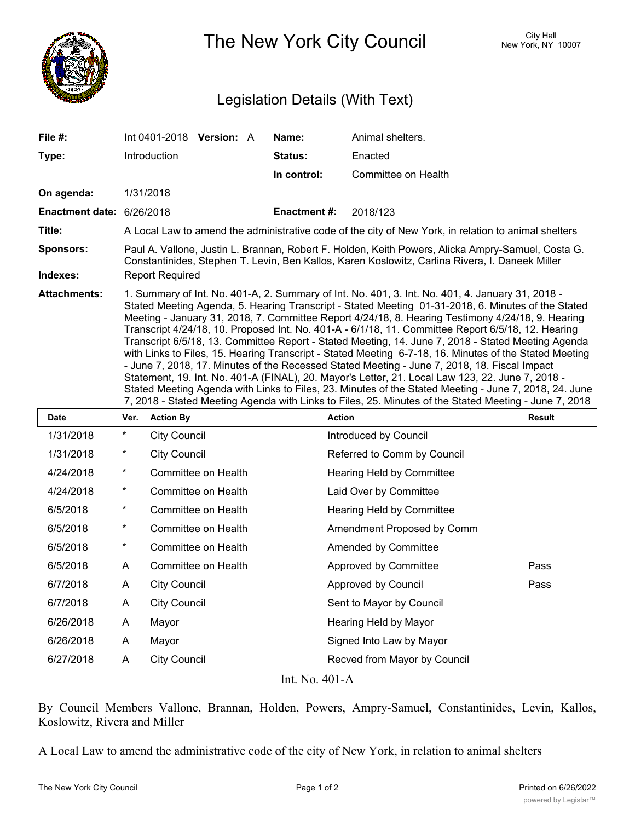

The New York City Council New York, NY 10007

## Legislation Details (With Text)

| File #:                      |          | Int 0401-2018                                                                                                                                                                                                                                                                                                                                                                                                                                                                                                                                                                                                                                                                                                                                                                                                                                                                                                                                                                                                                                           | <b>Version: A</b> |  | Name:               | Animal shelters.      |               |  |  |
|------------------------------|----------|---------------------------------------------------------------------------------------------------------------------------------------------------------------------------------------------------------------------------------------------------------------------------------------------------------------------------------------------------------------------------------------------------------------------------------------------------------------------------------------------------------------------------------------------------------------------------------------------------------------------------------------------------------------------------------------------------------------------------------------------------------------------------------------------------------------------------------------------------------------------------------------------------------------------------------------------------------------------------------------------------------------------------------------------------------|-------------------|--|---------------------|-----------------------|---------------|--|--|
| Type:                        |          | Introduction                                                                                                                                                                                                                                                                                                                                                                                                                                                                                                                                                                                                                                                                                                                                                                                                                                                                                                                                                                                                                                            |                   |  | Status:             | Enacted               |               |  |  |
|                              |          |                                                                                                                                                                                                                                                                                                                                                                                                                                                                                                                                                                                                                                                                                                                                                                                                                                                                                                                                                                                                                                                         |                   |  | In control:         | Committee on Health   |               |  |  |
| On agenda:                   |          | 1/31/2018                                                                                                                                                                                                                                                                                                                                                                                                                                                                                                                                                                                                                                                                                                                                                                                                                                                                                                                                                                                                                                               |                   |  |                     |                       |               |  |  |
| Enactment date: 6/26/2018    |          |                                                                                                                                                                                                                                                                                                                                                                                                                                                                                                                                                                                                                                                                                                                                                                                                                                                                                                                                                                                                                                                         |                   |  | <b>Enactment #:</b> | 2018/123              |               |  |  |
| Title:                       |          | A Local Law to amend the administrative code of the city of New York, in relation to animal shelters                                                                                                                                                                                                                                                                                                                                                                                                                                                                                                                                                                                                                                                                                                                                                                                                                                                                                                                                                    |                   |  |                     |                       |               |  |  |
| <b>Sponsors:</b><br>Indexes: |          | Paul A. Vallone, Justin L. Brannan, Robert F. Holden, Keith Powers, Alicka Ampry-Samuel, Costa G.<br>Constantinides, Stephen T. Levin, Ben Kallos, Karen Koslowitz, Carlina Rivera, I. Daneek Miller<br><b>Report Required</b>                                                                                                                                                                                                                                                                                                                                                                                                                                                                                                                                                                                                                                                                                                                                                                                                                          |                   |  |                     |                       |               |  |  |
| <b>Attachments:</b>          |          | 1. Summary of Int. No. 401-A, 2. Summary of Int. No. 401, 3. Int. No. 401, 4. January 31, 2018 -<br>Stated Meeting Agenda, 5. Hearing Transcript - Stated Meeting 01-31-2018, 6. Minutes of the Stated<br>Meeting - January 31, 2018, 7. Committee Report 4/24/18, 8. Hearing Testimony 4/24/18, 9. Hearing<br>Transcript 4/24/18, 10. Proposed Int. No. 401-A - 6/1/18, 11. Committee Report 6/5/18, 12. Hearing<br>Transcript 6/5/18, 13. Committee Report - Stated Meeting, 14. June 7, 2018 - Stated Meeting Agenda<br>with Links to Files, 15. Hearing Transcript - Stated Meeting 6-7-18, 16. Minutes of the Stated Meeting<br>- June 7, 2018, 17. Minutes of the Recessed Stated Meeting - June 7, 2018, 18. Fiscal Impact<br>Statement, 19. Int. No. 401-A (FINAL), 20. Mayor's Letter, 21. Local Law 123, 22. June 7, 2018 -<br>Stated Meeting Agenda with Links to Files, 23. Minutes of the Stated Meeting - June 7, 2018, 24. June<br>7, 2018 - Stated Meeting Agenda with Links to Files, 25. Minutes of the Stated Meeting - June 7, 2018 |                   |  |                     |                       |               |  |  |
| <b>Date</b>                  | Ver.     | <b>Action By</b>                                                                                                                                                                                                                                                                                                                                                                                                                                                                                                                                                                                                                                                                                                                                                                                                                                                                                                                                                                                                                                        |                   |  | <b>Action</b>       |                       | <b>Result</b> |  |  |
| 1/31/2018                    | $^\star$ | <b>City Council</b>                                                                                                                                                                                                                                                                                                                                                                                                                                                                                                                                                                                                                                                                                                                                                                                                                                                                                                                                                                                                                                     |                   |  |                     | Introduced by Council |               |  |  |

| 1/31/2018          | $^{\star}$ | <b>City Council</b> | Introduced by Council        |      |  |  |  |  |
|--------------------|------------|---------------------|------------------------------|------|--|--|--|--|
| 1/31/2018          | $\star$    | <b>City Council</b> | Referred to Comm by Council  |      |  |  |  |  |
| 4/24/2018          | *          | Committee on Health | Hearing Held by Committee    |      |  |  |  |  |
| 4/24/2018          | $\star$    | Committee on Health | Laid Over by Committee       |      |  |  |  |  |
| 6/5/2018           | *          | Committee on Health | Hearing Held by Committee    |      |  |  |  |  |
| 6/5/2018           | *          | Committee on Health | Amendment Proposed by Comm   |      |  |  |  |  |
| 6/5/2018           | *          | Committee on Health | Amended by Committee         |      |  |  |  |  |
| 6/5/2018           | A          | Committee on Health | Approved by Committee        | Pass |  |  |  |  |
| 6/7/2018           | A          | <b>City Council</b> | Approved by Council          | Pass |  |  |  |  |
| 6/7/2018           | A          | <b>City Council</b> | Sent to Mayor by Council     |      |  |  |  |  |
| 6/26/2018          | A          | Mayor               | Hearing Held by Mayor        |      |  |  |  |  |
| 6/26/2018          | A          | Mayor               | Signed Into Law by Mayor     |      |  |  |  |  |
| 6/27/2018          | A          | <b>City Council</b> | Recved from Mayor by Council |      |  |  |  |  |
| T . 3.T . 40.1 . A |            |                     |                              |      |  |  |  |  |

Int. No. 401-A

By Council Members Vallone, Brannan, Holden, Powers, Ampry-Samuel, Constantinides, Levin, Kallos, Koslowitz, Rivera and Miller

A Local Law to amend the administrative code of the city of New York, in relation to animal shelters